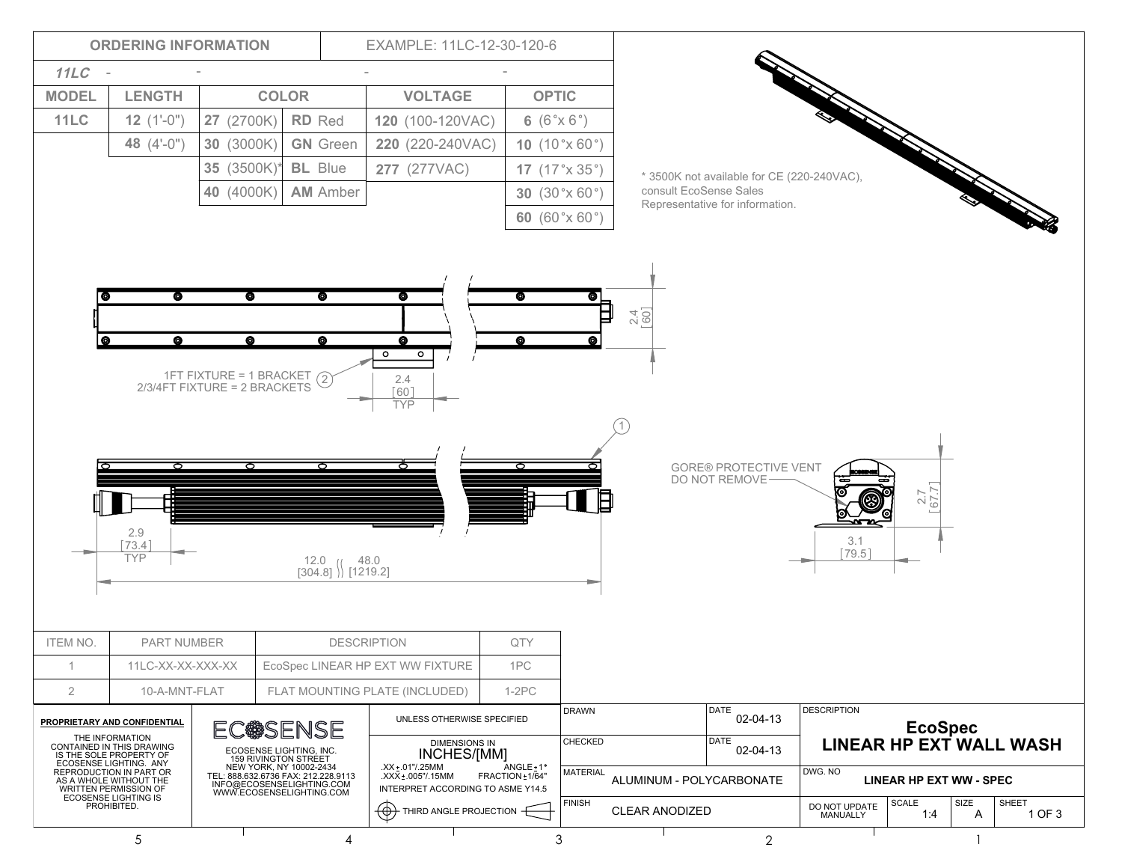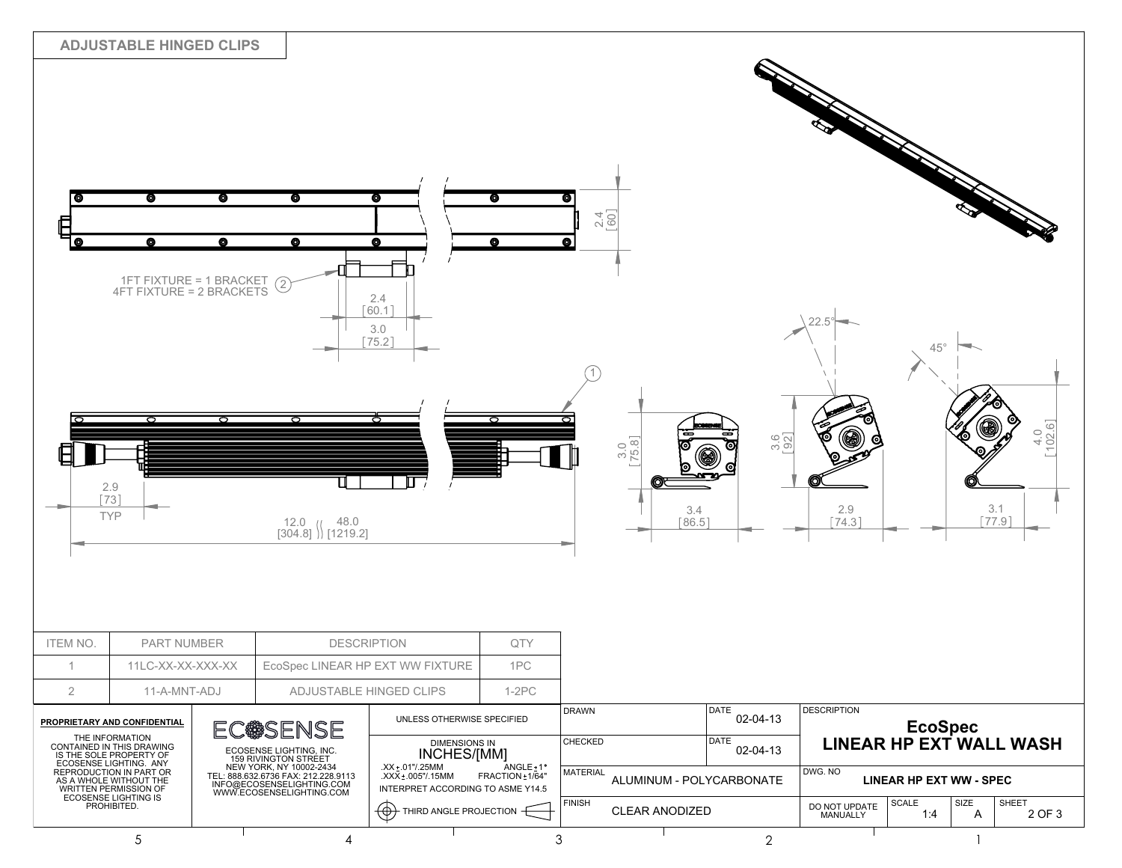